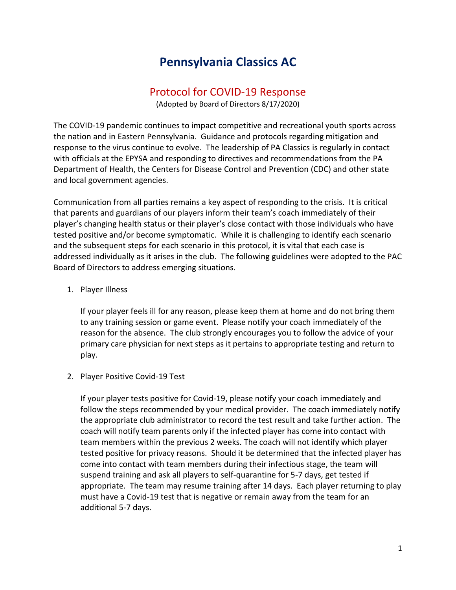# **Pennsylvania Classics AC**

### Protocol for COVID-19 Response

(Adopted by Board of Directors 8/17/2020)

The COVID-19 pandemic continues to impact competitive and recreational youth sports across the nation and in Eastern Pennsylvania. Guidance and protocols regarding mitigation and response to the virus continue to evolve. The leadership of PA Classics is regularly in contact with officials at the EPYSA and responding to directives and recommendations from the PA Department of Health, the Centers for Disease Control and Prevention (CDC) and other state and local government agencies.

Communication from all parties remains a key aspect of responding to the crisis. It is critical that parents and guardians of our players inform their team's coach immediately of their player's changing health status or their player's close contact with those individuals who have tested positive and/or become symptomatic. While it is challenging to identify each scenario and the subsequent steps for each scenario in this protocol, it is vital that each case is addressed individually as it arises in the club. The following guidelines were adopted to the PAC Board of Directors to address emerging situations.

#### 1. Player Illness

If your player feels ill for any reason, please keep them at home and do not bring them to any training session or game event. Please notify your coach immediately of the reason for the absence. The club strongly encourages you to follow the advice of your primary care physician for next steps as it pertains to appropriate testing and return to play.

#### 2. Player Positive Covid-19 Test

If your player tests positive for Covid-19, please notify your coach immediately and follow the steps recommended by your medical provider. The coach immediately notify the appropriate club administrator to record the test result and take further action. The coach will notify team parents only if the infected player has come into contact with team members within the previous 2 weeks. The coach will not identify which player tested positive for privacy reasons. Should it be determined that the infected player has come into contact with team members during their infectious stage, the team will suspend training and ask all players to self-quarantine for 5-7 days, get tested if appropriate. The team may resume training after 14 days. Each player returning to play must have a Covid-19 test that is negative or remain away from the team for an additional 5-7 days.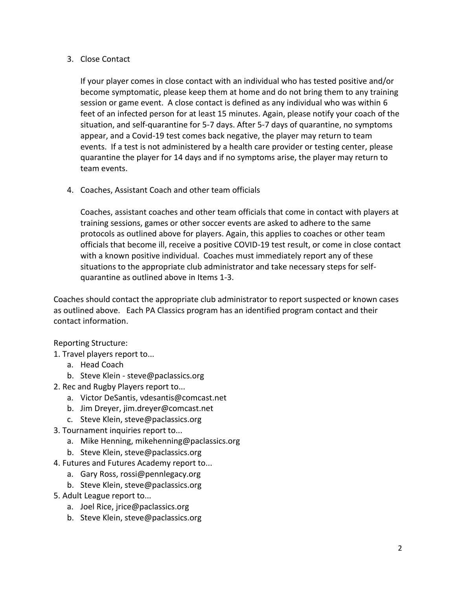#### 3. Close Contact

If your player comes in close contact with an individual who has tested positive and/or become symptomatic, please keep them at home and do not bring them to any training session or game event. A close contact is defined as any individual who was within 6 feet of an infected person for at least 15 minutes. Again, please notify your coach of the situation, and self-quarantine for 5-7 days. After 5-7 days of quarantine, no symptoms appear, and a Covid-19 test comes back negative, the player may return to team events. If a test is not administered by a health care provider or testing center, please quarantine the player for 14 days and if no symptoms arise, the player may return to team events.

4. Coaches, Assistant Coach and other team officials

Coaches, assistant coaches and other team officials that come in contact with players at training sessions, games or other soccer events are asked to adhere to the same protocols as outlined above for players. Again, this applies to coaches or other team officials that become ill, receive a positive COVID-19 test result, or come in close contact with a known positive individual. Coaches must immediately report any of these situations to the appropriate club administrator and take necessary steps for selfquarantine as outlined above in Items 1-3.

Coaches should contact the appropriate club administrator to report suspected or known cases as outlined above. Each PA Classics program has an identified program contact and their contact information.

#### Reporting Structure:

- 1. Travel players report to...
	- a. Head Coach
	- b. Steve Klein steve@paclassics.org
- 2. Rec and Rugby Players report to...
	- a. Victor DeSantis, vdesantis@comcast.net
	- b. Jim Dreyer, jim.dreyer@comcast.net
	- c. Steve Klein, steve@paclassics.org
- 3. Tournament inquiries report to...
	- a. Mike Henning, mikehenning@paclassics.org
	- b. Steve Klein, steve@paclassics.org
- 4. Futures and Futures Academy report to...
	- a. Gary Ross, rossi@pennlegacy.org
	- b. Steve Klein, steve@paclassics.org
- 5. Adult League report to...
	- a. Joel Rice, jrice@paclassics.org
	- b. Steve Klein, steve@paclassics.org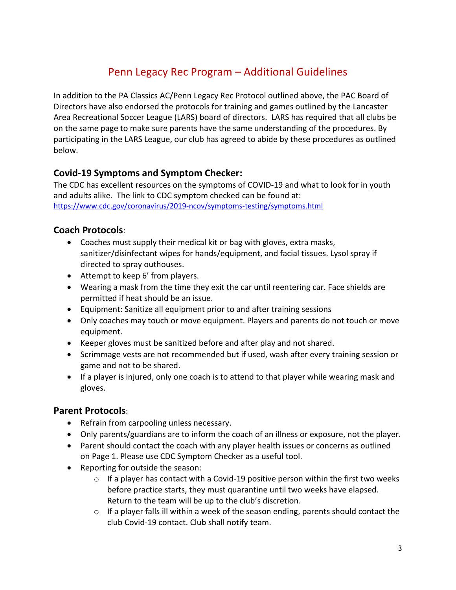## Penn Legacy Rec Program – Additional Guidelines

In addition to the PA Classics AC/Penn Legacy Rec Protocol outlined above, the PAC Board of Directors have also endorsed the protocols for training and games outlined by the Lancaster Area Recreational Soccer League (LARS) board of directors. LARS has required that all clubs be on the same page to make sure parents have the same understanding of the procedures. By participating in the LARS League, our club has agreed to abide by these procedures as outlined below.

### **Covid-19 Symptoms and Symptom Checker:**

The CDC has excellent resources on the symptoms of COVID-19 and what to look for in youth and adults alike. The link to CDC symptom checked can be found at: <https://www.cdc.gov/coronavirus/2019-ncov/symptoms-testing/symptoms.html>

### **Coach Protocols**:

- Coaches must supply their medical kit or bag with gloves, extra masks, sanitizer/disinfectant wipes for hands/equipment, and facial tissues. Lysol spray if directed to spray outhouses.
- Attempt to keep 6' from players.
- Wearing a mask from the time they exit the car until reentering car. Face shields are permitted if heat should be an issue.
- Equipment: Sanitize all equipment prior to and after training sessions
- Only coaches may touch or move equipment. Players and parents do not touch or move equipment.
- Keeper gloves must be sanitized before and after play and not shared.
- Scrimmage vests are not recommended but if used, wash after every training session or game and not to be shared.
- If a player is injured, only one coach is to attend to that player while wearing mask and gloves.

### **Parent Protocols**:

- Refrain from carpooling unless necessary.
- Only parents/guardians are to inform the coach of an illness or exposure, not the player.
- Parent should contact the coach with any player health issues or concerns as outlined on Page 1. Please use CDC Symptom Checker as a useful tool.
- Reporting for outside the season:
	- $\circ$  If a player has contact with a Covid-19 positive person within the first two weeks before practice starts, they must quarantine until two weeks have elapsed. Return to the team will be up to the club's discretion.
	- o If a player falls ill within a week of the season ending, parents should contact the club Covid-19 contact. Club shall notify team.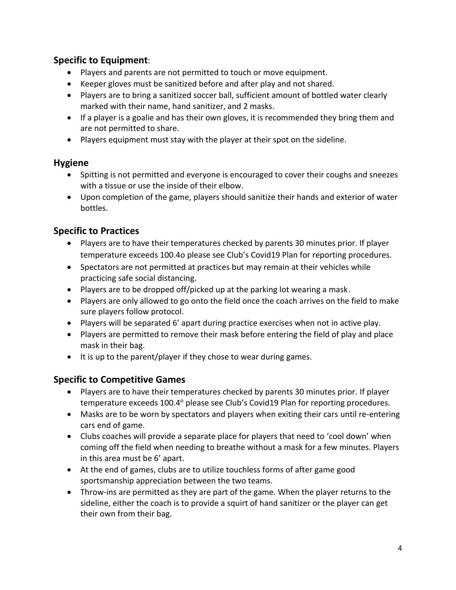### **Specific to Equipment**:

- Players and parents are not permitted to touch or move equipment.
- Keeper gloves must be sanitized before and after play and not shared.
- Players are to bring a sanitized soccer ball, sufficient amount of bottled water clearly marked with their name, hand sanitizer, and 2 masks.
- If a player is a goalie and has their own gloves, it is recommended they bring them and are not permitted to share.
- Players equipment must stay with the player at their spot on the sideline.

#### **Hygiene**

- Spitting is not permitted and everyone is encouraged to cover their coughs and sneezes with a tissue or use the inside of their elbow.
- Upon completion of the game, players should sanitize their hands and exterior of water bottles.

### **Specific to Practices**

- Players are to have their temperatures checked by parents 30 minutes prior. If player temperature exceeds 100.4o please see Club's Covid19 Plan for reporting procedures.
- Spectators are not permitted at practices but may remain at their vehicles while practicing safe social distancing.
- Players are to be dropped off/picked up at the parking lot wearing a mask.
- Players are only allowed to go onto the field once the coach arrives on the field to make sure players follow protocol.
- Players will be separated 6' apart during practice exercises when not in active play.
- Players are permitted to remove their mask before entering the field of play and place mask in their bag.
- It is up to the parent/player if they chose to wear during games.

### **Specific to Competitive Games**

- Players are to have their temperatures checked by parents 30 minutes prior. If player temperature exceeds 100.4° please see Club's Covid19 Plan for reporting procedures.
- Masks are to be worn by spectators and players when exiting their cars until re-entering cars end of game.
- Clubs coaches will provide a separate place for players that need to 'cool down' when coming off the field when needing to breathe without a mask for a few minutes. Players in this area must be 6' apart.
- At the end of games, clubs are to utilize touchless forms of after game good sportsmanship appreciation between the two teams.
- Throw-ins are permitted as they are part of the game. When the player returns to the sideline, either the coach is to provide a squirt of hand sanitizer or the player can get their own from their bag.